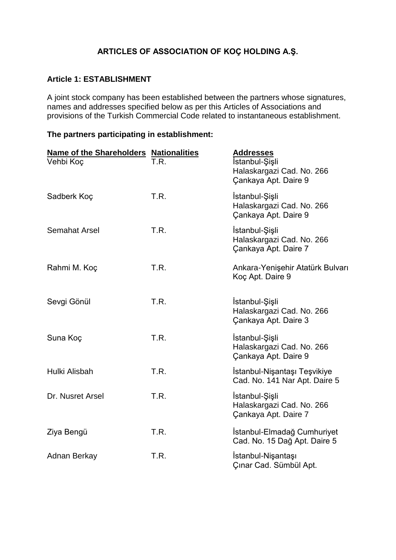# **ARTICLES OF ASSOCIATION OF KOÇ HOLDING A.Ş.**

### **Article 1: ESTABLISHMENT**

A joint stock company has been established between the partners whose signatures, names and addresses specified below as per this Articles of Associations and provisions of the Turkish Commercial Code related to instantaneous establishment.

#### **The partners participating in establishment:**

| <b>Name of the Shareholders Nationalities</b> |      | <b>Addresses</b>                                                    |
|-----------------------------------------------|------|---------------------------------------------------------------------|
| Vehbi Koç                                     | T.R. | İstanbul-Şişli<br>Halaskargazi Cad. No. 266<br>Cankaya Apt. Daire 9 |
| Sadberk Koç                                   | T.R. | İstanbul-Şişli<br>Halaskargazi Cad. No. 266<br>Çankaya Apt. Daire 9 |
| <b>Semahat Arsel</b>                          | T.R. | İstanbul-Şişli<br>Halaskargazi Cad. No. 266<br>Cankaya Apt. Daire 7 |
| Rahmi M. Koç                                  | T.R. | Ankara-Yenişehir Atatürk Bulvarı<br>Koç Apt. Daire 9                |
| Sevgi Gönül                                   | T.R. | İstanbul-Şişli<br>Halaskargazi Cad. No. 266<br>Çankaya Apt. Daire 3 |
| Suna Koç                                      | T.R. | İstanbul-Şişli<br>Halaskargazi Cad. No. 266<br>Çankaya Apt. Daire 9 |
| Hulki Alisbah                                 | T.R. | İstanbul-Nişantaşı Teşvikiye<br>Cad. No. 141 Nar Apt. Daire 5       |
| Dr. Nusret Arsel                              | T.R. | İstanbul-Şişli<br>Halaskargazi Cad. No. 266<br>Çankaya Apt. Daire 7 |
| Ziya Bengü                                    | T.R. | İstanbul-Elmadağ Cumhuriyet<br>Cad. No. 15 Dağ Apt. Daire 5         |
| Adnan Berkay                                  | T.R. | İstanbul-Nişantaşı<br>Çınar Cad. Sümbül Apt.                        |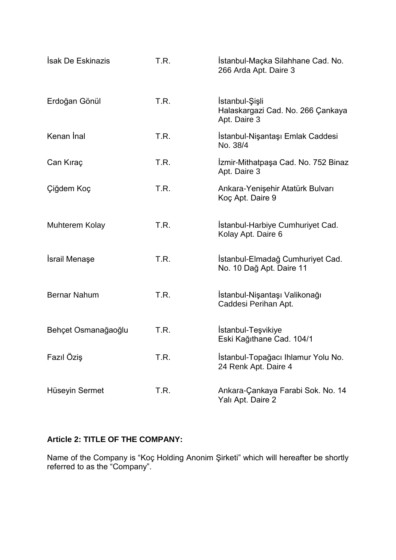| <b>Isak De Eskinazis</b> | T.R. | İstanbul-Maçka Silahhane Cad. No.<br>266 Arda Apt. Daire 3          |
|--------------------------|------|---------------------------------------------------------------------|
| Erdoğan Gönül            | T.R. | İstanbul-Şişli<br>Halaskargazi Cad. No. 266 Çankaya<br>Apt. Daire 3 |
| Kenan Inal               | T.R. | İstanbul-Nişantaşı Emlak Caddesi<br>No. 38/4                        |
| Can Kıraç                | T.R. | Izmir-Mithatpaşa Cad. No. 752 Binaz<br>Apt. Daire 3                 |
| Çiğdem Koç               | T.R. | Ankara-Yenişehir Atatürk Bulvarı<br>Koç Apt. Daire 9                |
| Muhterem Kolay           | T.R. | Istanbul-Harbiye Cumhuriyet Cad.<br>Kolay Apt. Daire 6              |
| <b>İsrail Menaşe</b>     | T.R. | İstanbul-Elmadağ Cumhuriyet Cad.<br>No. 10 Dağ Apt. Daire 11        |
| <b>Bernar Nahum</b>      | T.R. | İstanbul-Nişantaşı Valikonağı<br>Caddesi Perihan Apt.               |
| Behçet Osmanağaoğlu      | T.R. | İstanbul-Teşvikiye<br>Eski Kağıthane Cad. 104/1                     |
| Fazıl Öziş               | T.R. | Istanbul-Topağacı Ihlamur Yolu No.<br>24 Renk Apt. Daire 4          |
| Hüseyin Sermet           | T.R. | Ankara-Çankaya Farabi Sok. No. 14<br>Yalı Apt. Daire 2              |

# **Article 2: TITLE OF THE COMPANY:**

Name of the Company is "Koç Holding Anonim Şirketi" which will hereafter be shortly referred to as the "Company".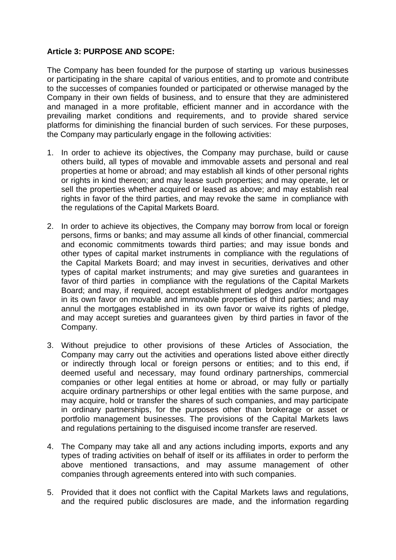### **Article 3: PURPOSE AND SCOPE:**

The Company has been founded for the purpose of starting up various businesses or participating in the share capital of various entities, and to promote and contribute to the successes of companies founded or participated or otherwise managed by the Company in their own fields of business, and to ensure that they are administered and managed in a more profitable, efficient manner and in accordance with the prevailing market conditions and requirements, and to provide shared service platforms for diminishing the financial burden of such services. For these purposes, the Company may particularly engage in the following activities:

- 1. In order to achieve its objectives, the Company may purchase, build or cause others build, all types of movable and immovable assets and personal and real properties at home or abroad; and may establish all kinds of other personal rights or rights in kind thereon; and may lease such properties; and may operate, let or sell the properties whether acquired or leased as above; and may establish real rights in favor of the third parties, and may revoke the same in compliance with the regulations of the Capital Markets Board.
- 2. In order to achieve its objectives, the Company may borrow from local or foreign persons, firms or banks; and may assume all kinds of other financial, commercial and economic commitments towards third parties; and may issue bonds and other types of capital market instruments in compliance with the regulations of the Capital Markets Board; and may invest in securities, derivatives and other types of capital market instruments; and may give sureties and guarantees in favor of third parties in compliance with the regulations of the Capital Markets Board; and may, if required, accept establishment of pledges and/or mortgages in its own favor on movable and immovable properties of third parties; and may annul the mortgages established in its own favor or waive its rights of pledge, and may accept sureties and guarantees given by third parties in favor of the Company.
- 3. Without prejudice to other provisions of these Articles of Association, the Company may carry out the activities and operations listed above either directly or indirectly through local or foreign persons or entities; and to this end, if deemed useful and necessary, may found ordinary partnerships, commercial companies or other legal entities at home or abroad, or may fully or partially acquire ordinary partnerships or other legal entities with the same purpose, and may acquire, hold or transfer the shares of such companies, and may participate in ordinary partnerships, for the purposes other than brokerage or asset or portfolio management businesses. The provisions of the Capital Markets laws and regulations pertaining to the disguised income transfer are reserved.
- 4. The Company may take all and any actions including imports, exports and any types of trading activities on behalf of itself or its affiliates in order to perform the above mentioned transactions, and may assume management of other companies through agreements entered into with such companies.
- 5. Provided that it does not conflict with the Capital Markets laws and regulations, and the required public disclosures are made, and the information regarding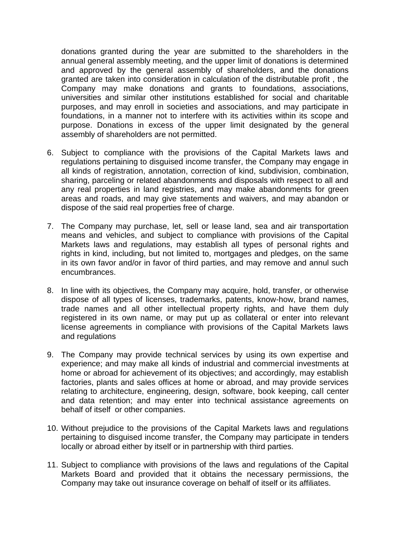donations granted during the year are submitted to the shareholders in the annual general assembly meeting, and the upper limit of donations is determined and approved by the general assembly of shareholders, and the donations granted are taken into consideration in calculation of the distributable profit , the Company may make donations and grants to foundations, associations, universities and similar other institutions established for social and charitable purposes, and may enroll in societies and associations, and may participate in foundations, in a manner not to interfere with its activities within its scope and purpose. Donations in excess of the upper limit designated by the general assembly of shareholders are not permitted.

- 6. Subject to compliance with the provisions of the Capital Markets laws and regulations pertaining to disguised income transfer, the Company may engage in all kinds of registration, annotation, correction of kind, subdivision, combination, sharing, parceling or related abandonments and disposals with respect to all and any real properties in land registries, and may make abandonments for green areas and roads, and may give statements and waivers, and may abandon or dispose of the said real properties free of charge.
- 7. The Company may purchase, let, sell or lease land, sea and air transportation means and vehicles, and subject to compliance with provisions of the Capital Markets laws and regulations, may establish all types of personal rights and rights in kind, including, but not limited to, mortgages and pledges, on the same in its own favor and/or in favor of third parties, and may remove and annul such encumbrances.
- 8. In line with its objectives, the Company may acquire, hold, transfer, or otherwise dispose of all types of licenses, trademarks, patents, know-how, brand names, trade names and all other intellectual property rights, and have them duly registered in its own name, or may put up as collateral or enter into relevant license agreements in compliance with provisions of the Capital Markets laws and regulations
- 9. The Company may provide technical services by using its own expertise and experience; and may make all kinds of industrial and commercial investments at home or abroad for achievement of its objectives; and accordingly, may establish factories, plants and sales offices at home or abroad, and may provide services relating to architecture, engineering, design, software, book keeping, call center and data retention; and may enter into technical assistance agreements on behalf of itself or other companies.
- 10. Without prejudice to the provisions of the Capital Markets laws and regulations pertaining to disguised income transfer, the Company may participate in tenders locally or abroad either by itself or in partnership with third parties.
- 11. Subject to compliance with provisions of the laws and regulations of the Capital Markets Board and provided that it obtains the necessary permissions, the Company may take out insurance coverage on behalf of itself or its affiliates.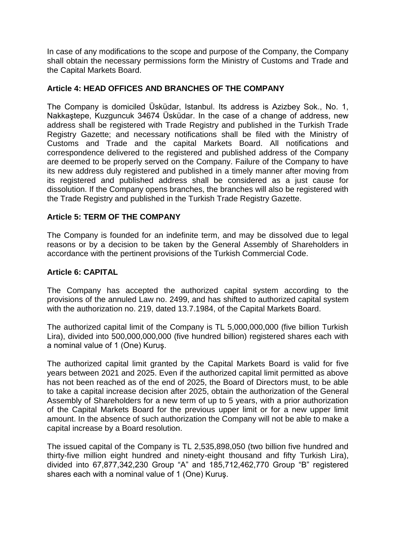In case of any modifications to the scope and purpose of the Company, the Company shall obtain the necessary permissions form the Ministry of Customs and Trade and the Capital Markets Board.

### **Article 4: HEAD OFFICES AND BRANCHES OF THE COMPANY**

The Company is domiciled Üsküdar, Istanbul. Its address is Azizbey Sok., No. 1, Nakkaştepe, Kuzguncuk 34674 Üsküdar. In the case of a change of address, new address shall be registered with Trade Registry and published in the Turkish Trade Registry Gazette; and necessary notifications shall be filed with the Ministry of Customs and Trade and the capital Markets Board. All notifications and correspondence delivered to the registered and published address of the Company are deemed to be properly served on the Company. Failure of the Company to have its new address duly registered and published in a timely manner after moving from its registered and published address shall be considered as a just cause for dissolution. If the Company opens branches, the branches will also be registered with the Trade Registry and published in the Turkish Trade Registry Gazette.

### **Article 5: TERM OF THE COMPANY**

The Company is founded for an indefinite term, and may be dissolved due to legal reasons or by a decision to be taken by the General Assembly of Shareholders in accordance with the pertinent provisions of the Turkish Commercial Code.

### **Article 6: CAPITAL**

The Company has accepted the authorized capital system according to the provisions of the annuled Law no. 2499, and has shifted to authorized capital system with the authorization no. 219, dated 13.7.1984, of the Capital Markets Board.

The authorized capital limit of the Company is TL 5,000,000,000 (five billion Turkish Lira), divided into 500,000,000,000 (five hundred billion) registered shares each with a nominal value of 1 (One) Kuruş.

The authorized capital limit granted by the Capital Markets Board is valid for five years between 2021 and 2025. Even if the authorized capital limit permitted as above has not been reached as of the end of 2025, the Board of Directors must, to be able to take a capital increase decision after 2025, obtain the authorization of the General Assembly of Shareholders for a new term of up to 5 years, with a prior authorization of the Capital Markets Board for the previous upper limit or for a new upper limit amount. In the absence of such authorization the Company will not be able to make a capital increase by a Board resolution.

The issued capital of the Company is TL 2,535,898,050 (two billion five hundred and thirty-five million eight hundred and ninety-eight thousand and fifty Turkish Lira), divided into 67,877,342,230 Group "A" and 185,712,462,770 Group "B" registered shares each with a nominal value of 1 (One) Kuruş.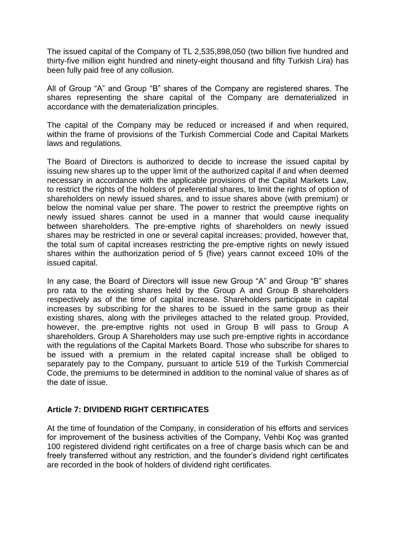The issued capital of the Company of TL 2,535,898,050 (two billion five hundred and thirty-five million eight hundred and ninety-eight thousand and fifty Turkish Lira) has been fully paid free of any collusion.

All of Group "A" and Group "B" shares of the Company are registered shares. The shares representing the share capital of the Company are dematerialized in accordance with the dematerialization principles.

The capital of the Company may be reduced or increased if and when required, within the frame of provisions of the Turkish Commercial Code and Capital Markets laws and regulations.

The Board of Directors is authorized to decide to increase the issued capital by issuing new shares up to the upper limit of the authorized capital if and when deemed necessary in accordance with the applicable provisions of the Capital Markets Law, to restrict the rights of the holders of preferential shares, to limit the rights of option of shareholders on newly issued shares, and to issue shares above (with premium) or below the nominal value per share. The power to restrict the preemptive rights on newly issued shares cannot be used in a manner that would cause inequality between shareholders. The pre-emptive rights of shareholders on newly issued shares may be restricted in one or several capital increases; provided, however that, the total sum of capital increases restricting the pre-emptive rights on newly issued shares within the authorization period of 5 (five) years cannot exceed 10% of the issued capital.

In any case, the Board of Directors will issue new Group "A" and Group "B" shares pro rata to the existing shares held by the Group A and Group B shareholders respectively as of the time of capital increase. Shareholders participate in capital increases by subscribing for the shares to be issued in the same group as their existing shares, along with the privileges attached to the related group. Provided, however, the pre-emptive rights not used in Group B will pass to Group A shareholders. Group A Shareholders may use such pre-emptive rights in accordance with the regulations of the Capital Markets Board. Those who subscribe for shares to be issued with a premium in the related capital increase shall be obliged to separately pay to the Company, pursuant to article 519 of the Turkish Commercial Code, the premiums to be determined in addition to the nominal value of shares as of the date of issue.

## **Article 7: DIVIDEND RIGHT CERTIFICATES**

At the time of foundation of the Company, in consideration of his efforts and services for improvement of the business activities of the Company, Vehbi Koç was granted 100 registered dividend right certificates on a free of charge basis which can be and freely transferred without any restriction, and the founder's dividend right certificates are recorded in the book of holders of dividend right certificates.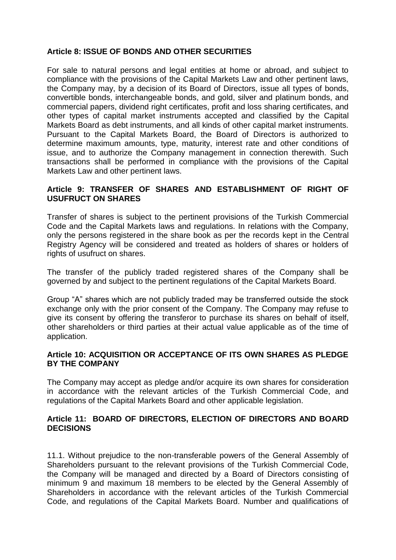### **Article 8: ISSUE OF BONDS AND OTHER SECURITIES**

For sale to natural persons and legal entities at home or abroad, and subject to compliance with the provisions of the Capital Markets Law and other pertinent laws, the Company may, by a decision of its Board of Directors, issue all types of bonds, convertible bonds, interchangeable bonds, and gold, silver and platinum bonds, and commercial papers, dividend right certificates, profit and loss sharing certificates, and other types of capital market instruments accepted and classified by the Capital Markets Board as debt instruments, and all kinds of other capital market instruments. Pursuant to the Capital Markets Board, the Board of Directors is authorized to determine maximum amounts, type, maturity, interest rate and other conditions of issue, and to authorize the Company management in connection therewith. Such transactions shall be performed in compliance with the provisions of the Capital Markets Law and other pertinent laws.

### **Article 9: TRANSFER OF SHARES AND ESTABLISHMENT OF RIGHT OF USUFRUCT ON SHARES**

Transfer of shares is subject to the pertinent provisions of the Turkish Commercial Code and the Capital Markets laws and regulations. In relations with the Company, only the persons registered in the share book as per the records kept in the Central Registry Agency will be considered and treated as holders of shares or holders of rights of usufruct on shares.

The transfer of the publicly traded registered shares of the Company shall be governed by and subject to the pertinent regulations of the Capital Markets Board.

Group "A" shares which are not publicly traded may be transferred outside the stock exchange only with the prior consent of the Company. The Company may refuse to give its consent by offering the transferor to purchase its shares on behalf of itself, other shareholders or third parties at their actual value applicable as of the time of application.

#### **Article 10: ACQUISITION OR ACCEPTANCE OF ITS OWN SHARES AS PLEDGE BY THE COMPANY**

The Company may accept as pledge and/or acquire its own shares for consideration in accordance with the relevant articles of the Turkish Commercial Code, and regulations of the Capital Markets Board and other applicable legislation.

### **Article 11: BOARD OF DIRECTORS, ELECTION OF DIRECTORS AND BOARD DECISIONS**

11.1. Without prejudice to the non-transferable powers of the General Assembly of Shareholders pursuant to the relevant provisions of the Turkish Commercial Code, the Company will be managed and directed by a Board of Directors consisting of minimum 9 and maximum 18 members to be elected by the General Assembly of Shareholders in accordance with the relevant articles of the Turkish Commercial Code, and regulations of the Capital Markets Board. Number and qualifications of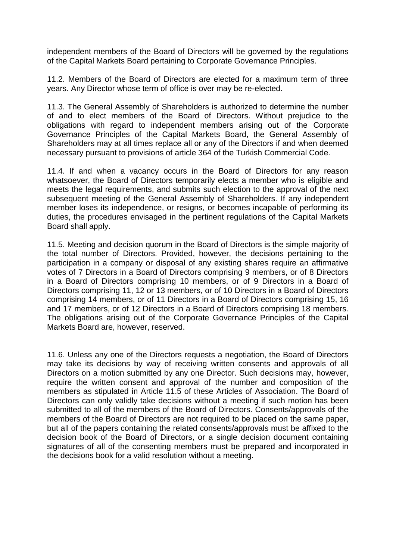independent members of the Board of Directors will be governed by the regulations of the Capital Markets Board pertaining to Corporate Governance Principles.

11.2. Members of the Board of Directors are elected for a maximum term of three years. Any Director whose term of office is over may be re-elected.

11.3. The General Assembly of Shareholders is authorized to determine the number of and to elect members of the Board of Directors. Without prejudice to the obligations with regard to independent members arising out of the Corporate Governance Principles of the Capital Markets Board, the General Assembly of Shareholders may at all times replace all or any of the Directors if and when deemed necessary pursuant to provisions of article 364 of the Turkish Commercial Code.

11.4. If and when a vacancy occurs in the Board of Directors for any reason whatsoever, the Board of Directors temporarily elects a member who is eligible and meets the legal requirements, and submits such election to the approval of the next subsequent meeting of the General Assembly of Shareholders. If any independent member loses its independence, or resigns, or becomes incapable of performing its duties, the procedures envisaged in the pertinent regulations of the Capital Markets Board shall apply.

11.5. Meeting and decision quorum in the Board of Directors is the simple majority of the total number of Directors. Provided, however, the decisions pertaining to the participation in a company or disposal of any existing shares require an affirmative votes of 7 Directors in a Board of Directors comprising 9 members, or of 8 Directors in a Board of Directors comprising 10 members, or of 9 Directors in a Board of Directors comprising 11, 12 or 13 members, or of 10 Directors in a Board of Directors comprising 14 members, or of 11 Directors in a Board of Directors comprising 15, 16 and 17 members, or of 12 Directors in a Board of Directors comprising 18 members. The obligations arising out of the Corporate Governance Principles of the Capital Markets Board are, however, reserved.

11.6. Unless any one of the Directors requests a negotiation, the Board of Directors may take its decisions by way of receiving written consents and approvals of all Directors on a motion submitted by any one Director. Such decisions may, however, require the written consent and approval of the number and composition of the members as stipulated in Article 11.5 of these Articles of Association. The Board of Directors can only validly take decisions without a meeting if such motion has been submitted to all of the members of the Board of Directors. Consents/approvals of the members of the Board of Directors are not required to be placed on the same paper, but all of the papers containing the related consents/approvals must be affixed to the decision book of the Board of Directors, or a single decision document containing signatures of all of the consenting members must be prepared and incorporated in the decisions book for a valid resolution without a meeting.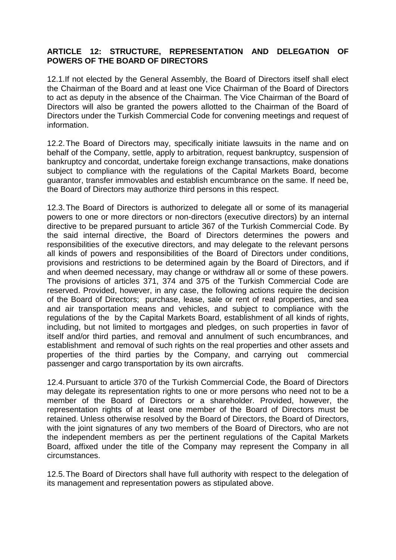### **ARTICLE 12: STRUCTURE, REPRESENTATION AND DELEGATION OF POWERS OF THE BOARD OF DIRECTORS**

12.1.If not elected by the General Assembly, the Board of Directors itself shall elect the Chairman of the Board and at least one Vice Chairman of the Board of Directors to act as deputy in the absence of the Chairman. The Vice Chairman of the Board of Directors will also be granted the powers allotted to the Chairman of the Board of Directors under the Turkish Commercial Code for convening meetings and request of information.

12.2.The Board of Directors may, specifically initiate lawsuits in the name and on behalf of the Company, settle, apply to arbitration, request bankruptcy, suspension of bankruptcy and concordat, undertake foreign exchange transactions, make donations subject to compliance with the regulations of the Capital Markets Board, become guarantor, transfer immovables and establish encumbrance on the same. If need be, the Board of Directors may authorize third persons in this respect.

12.3.The Board of Directors is authorized to delegate all or some of its managerial powers to one or more directors or non-directors (executive directors) by an internal directive to be prepared pursuant to article 367 of the Turkish Commercial Code. By the said internal directive, the Board of Directors determines the powers and responsibilities of the executive directors, and may delegate to the relevant persons all kinds of powers and responsibilities of the Board of Directors under conditions, provisions and restrictions to be determined again by the Board of Directors, and if and when deemed necessary, may change or withdraw all or some of these powers. The provisions of articles 371, 374 and 375 of the Turkish Commercial Code are reserved. Provided, however, in any case, the following actions require the decision of the Board of Directors; purchase, lease, sale or rent of real properties, and sea and air transportation means and vehicles, and subject to compliance with the regulations of the by the Capital Markets Board, establishment of all kinds of rights, including, but not limited to mortgages and pledges, on such properties in favor of itself and/or third parties, and removal and annulment of such encumbrances, and establishment and removal of such rights on the real properties and other assets and properties of the third parties by the Company, and carrying out commercial passenger and cargo transportation by its own aircrafts.

12.4.Pursuant to article 370 of the Turkish Commercial Code, the Board of Directors may delegate its representation rights to one or more persons who need not to be a member of the Board of Directors or a shareholder. Provided, however, the representation rights of at least one member of the Board of Directors must be retained. Unless otherwise resolved by the Board of Directors, the Board of Directors, with the joint signatures of any two members of the Board of Directors, who are not the independent members as per the pertinent regulations of the Capital Markets Board, affixed under the title of the Company may represent the Company in all circumstances.

12.5.The Board of Directors shall have full authority with respect to the delegation of its management and representation powers as stipulated above.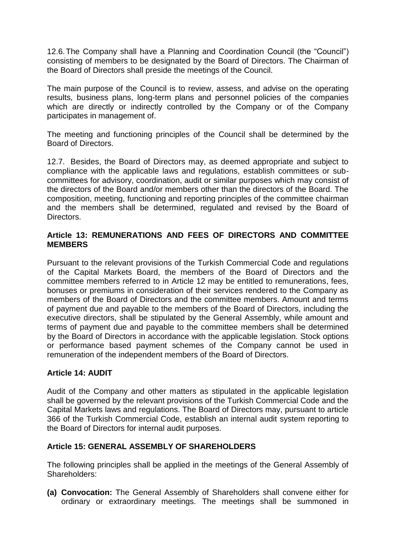12.6.The Company shall have a Planning and Coordination Council (the "Council") consisting of members to be designated by the Board of Directors. The Chairman of the Board of Directors shall preside the meetings of the Council.

The main purpose of the Council is to review, assess, and advise on the operating results, business plans, long-term plans and personnel policies of the companies which are directly or indirectly controlled by the Company or of the Company participates in management of.

The meeting and functioning principles of the Council shall be determined by the Board of Directors.

12.7. Besides, the Board of Directors may, as deemed appropriate and subject to compliance with the applicable laws and regulations, establish committees or subcommittees for advisory, coordination, audit or similar purposes which may consist of the directors of the Board and/or members other than the directors of the Board. The composition, meeting, functioning and reporting principles of the committee chairman and the members shall be determined, regulated and revised by the Board of **Directors** 

### **Article 13: REMUNERATIONS AND FEES OF DIRECTORS AND COMMITTEE MEMBERS**

Pursuant to the relevant provisions of the Turkish Commercial Code and regulations of the Capital Markets Board, the members of the Board of Directors and the committee members referred to in Article 12 may be entitled to remunerations, fees, bonuses or premiums in consideration of their services rendered to the Company as members of the Board of Directors and the committee members. Amount and terms of payment due and payable to the members of the Board of Directors, including the executive directors, shall be stipulated by the General Assembly, while amount and terms of payment due and payable to the committee members shall be determined by the Board of Directors in accordance with the applicable legislation. Stock options or performance based payment schemes of the Company cannot be used in remuneration of the independent members of the Board of Directors.

## **Article 14: AUDIT**

Audit of the Company and other matters as stipulated in the applicable legislation shall be governed by the relevant provisions of the Turkish Commercial Code and the Capital Markets laws and regulations. The Board of Directors may, pursuant to article 366 of the Turkish Commercial Code, establish an internal audit system reporting to the Board of Directors for internal audit purposes.

#### **Article 15: GENERAL ASSEMBLY OF SHAREHOLDERS**

The following principles shall be applied in the meetings of the General Assembly of Shareholders:

**(a) Convocation:** The General Assembly of Shareholders shall convene either for ordinary or extraordinary meetings. The meetings shall be summoned in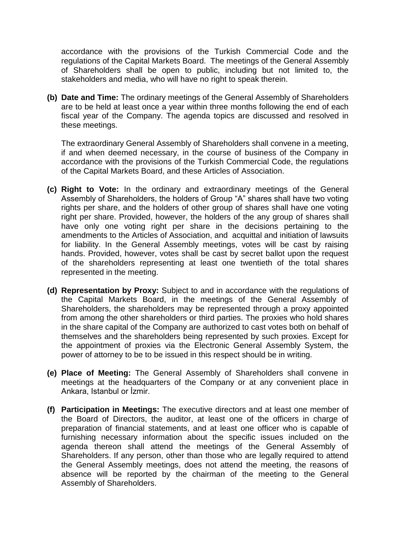accordance with the provisions of the Turkish Commercial Code and the regulations of the Capital Markets Board. The meetings of the General Assembly of Shareholders shall be open to public, including but not limited to, the stakeholders and media, who will have no right to speak therein.

**(b) Date and Time:** The ordinary meetings of the General Assembly of Shareholders are to be held at least once a year within three months following the end of each fiscal year of the Company. The agenda topics are discussed and resolved in these meetings.

The extraordinary General Assembly of Shareholders shall convene in a meeting, if and when deemed necessary, in the course of business of the Company in accordance with the provisions of the Turkish Commercial Code, the regulations of the Capital Markets Board, and these Articles of Association.

- **(c) Right to Vote:** In the ordinary and extraordinary meetings of the General Assembly of Shareholders, the holders of Group "A" shares shall have two voting rights per share, and the holders of other group of shares shall have one voting right per share. Provided, however, the holders of the any group of shares shall have only one voting right per share in the decisions pertaining to the amendments to the Articles of Association, and acquittal and initiation of lawsuits for liability. In the General Assembly meetings, votes will be cast by raising hands. Provided, however, votes shall be cast by secret ballot upon the request of the shareholders representing at least one twentieth of the total shares represented in the meeting.
- **(d) Representation by Proxy:** Subject to and in accordance with the regulations of the Capital Markets Board, in the meetings of the General Assembly of Shareholders, the shareholders may be represented through a proxy appointed from among the other shareholders or third parties. The proxies who hold shares in the share capital of the Company are authorized to cast votes both on behalf of themselves and the shareholders being represented by such proxies. Except for the appointment of proxies via the Electronic General Assembly System, the power of attorney to be to be issued in this respect should be in writing.
- **(e) Place of Meeting:** The General Assembly of Shareholders shall convene in meetings at the headquarters of the Company or at any convenient place in Ankara, Istanbul or İzmir.
- **(f) Participation in Meetings:** The executive directors and at least one member of the Board of Directors, the auditor, at least one of the officers in charge of preparation of financial statements, and at least one officer who is capable of furnishing necessary information about the specific issues included on the agenda thereon shall attend the meetings of the General Assembly of Shareholders. If any person, other than those who are legally required to attend the General Assembly meetings, does not attend the meeting, the reasons of absence will be reported by the chairman of the meeting to the General Assembly of Shareholders.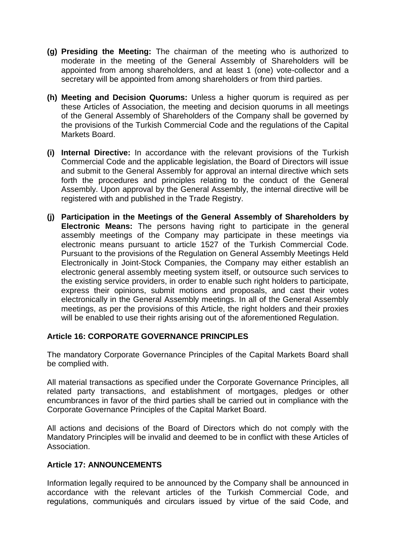- **(g) Presiding the Meeting:** The chairman of the meeting who is authorized to moderate in the meeting of the General Assembly of Shareholders will be appointed from among shareholders, and at least 1 (one) vote-collector and a secretary will be appointed from among shareholders or from third parties.
- **(h) Meeting and Decision Quorums:** Unless a higher quorum is required as per these Articles of Association, the meeting and decision quorums in all meetings of the General Assembly of Shareholders of the Company shall be governed by the provisions of the Turkish Commercial Code and the regulations of the Capital Markets Board.
- **(i) Internal Directive:** In accordance with the relevant provisions of the Turkish Commercial Code and the applicable legislation, the Board of Directors will issue and submit to the General Assembly for approval an internal directive which sets forth the procedures and principles relating to the conduct of the General Assembly. Upon approval by the General Assembly, the internal directive will be registered with and published in the Trade Registry.
- **(j) Participation in the Meetings of the General Assembly of Shareholders by Electronic Means:** The persons having right to participate in the general assembly meetings of the Company may participate in these meetings via electronic means pursuant to article 1527 of the Turkish Commercial Code. Pursuant to the provisions of the Regulation on General Assembly Meetings Held Electronically in Joint-Stock Companies, the Company may either establish an electronic general assembly meeting system itself, or outsource such services to the existing service providers, in order to enable such right holders to participate, express their opinions, submit motions and proposals, and cast their votes electronically in the General Assembly meetings. In all of the General Assembly meetings, as per the provisions of this Article, the right holders and their proxies will be enabled to use their rights arising out of the aforementioned Regulation.

#### **Article 16: CORPORATE GOVERNANCE PRINCIPLES**

The mandatory Corporate Governance Principles of the Capital Markets Board shall be complied with.

All material transactions as specified under the Corporate Governance Principles, all related party transactions, and establishment of mortgages, pledges or other encumbrances in favor of the third parties shall be carried out in compliance with the Corporate Governance Principles of the Capital Market Board.

All actions and decisions of the Board of Directors which do not comply with the Mandatory Principles will be invalid and deemed to be in conflict with these Articles of Association.

#### **Article 17: ANNOUNCEMENTS**

Information legally required to be announced by the Company shall be announced in accordance with the relevant articles of the Turkish Commercial Code, and regulations, communiqués and circulars issued by virtue of the said Code, and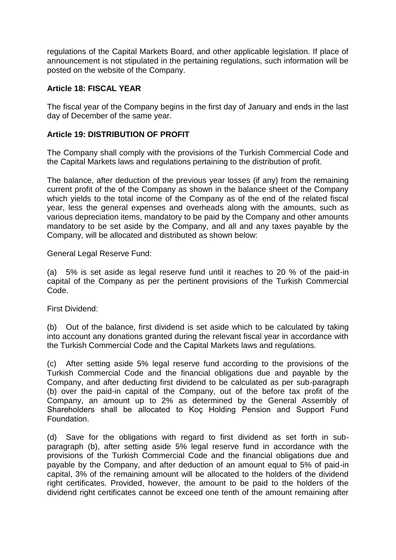regulations of the Capital Markets Board, and other applicable legislation. If place of announcement is not stipulated in the pertaining regulations, such information will be posted on the website of the Company.

### **Article 18: FISCAL YEAR**

The fiscal year of the Company begins in the first day of January and ends in the last day of December of the same year.

### **Article 19: DISTRIBUTION OF PROFIT**

The Company shall comply with the provisions of the Turkish Commercial Code and the Capital Markets laws and regulations pertaining to the distribution of profit.

The balance, after deduction of the previous year losses (if any) from the remaining current profit of the of the Company as shown in the balance sheet of the Company which yields to the total income of the Company as of the end of the related fiscal year, less the general expenses and overheads along with the amounts, such as various depreciation items, mandatory to be paid by the Company and other amounts mandatory to be set aside by the Company, and all and any taxes payable by the Company, will be allocated and distributed as shown below:

General Legal Reserve Fund:

(a) 5% is set aside as legal reserve fund until it reaches to 20 % of the paid-in capital of the Company as per the pertinent provisions of the Turkish Commercial Code.

First Dividend:

(b) Out of the balance, first dividend is set aside which to be calculated by taking into account any donations granted during the relevant fiscal year in accordance with the Turkish Commercial Code and the Capital Markets laws and regulations.

(c) After setting aside 5% legal reserve fund according to the provisions of the Turkish Commercial Code and the financial obligations due and payable by the Company, and after deducting first dividend to be calculated as per sub-paragraph (b) over the paid-in capital of the Company, out of the before tax profit of the Company, an amount up to 2% as determined by the General Assembly of Shareholders shall be allocated to Koç Holding Pension and Support Fund Foundation.

(d) Save for the obligations with regard to first dividend as set forth in subparagraph (b), after setting aside 5% legal reserve fund in accordance with the provisions of the Turkish Commercial Code and the financial obligations due and payable by the Company, and after deduction of an amount equal to 5% of paid-in capital, 3% of the remaining amount will be allocated to the holders of the dividend right certificates. Provided, however, the amount to be paid to the holders of the dividend right certificates cannot be exceed one tenth of the amount remaining after